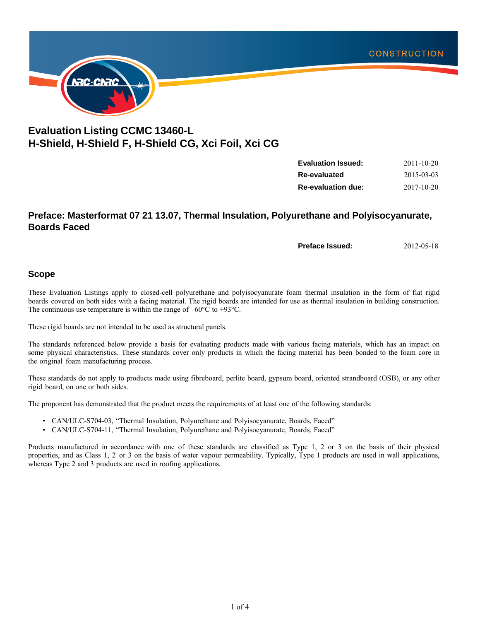

# **Evaluation Listing CCMC 13460-L H-Shield, H-Shield F, H-Shield CG, Xci Foil, Xci CG**

| <b>Evaluation Issued:</b> | $2011 - 10 - 20$ |
|---------------------------|------------------|
| Re-evaluated              | 2015-03-03       |
| <b>Re-evaluation due:</b> | 2017-10-20       |

## **Preface: Masterformat 07 21 13.07, Thermal Insulation, Polyurethane and Polyisocyanurate, Boards Faced**

**Preface Issued:** 2012-05-18

#### **Scope**

These Evaluation Listings apply to closed-cell polyurethane and polyisocyanurate foam thermal insulation in the form of flat rigid boards covered on both sides with a facing material. The rigid boards are intended for use as thermal insulation in building construction. The continuous use temperature is within the range of –60°C to +93°C.

These rigid boards are not intended to be used as structural panels.

The standards referenced below provide a basis for evaluating products made with various facing materials, which has an impact on some physical characteristics. These standards cover only products in which the facing material has been bonded to the foam core in the original foam manufacturing process.

These standards do not apply to products made using fibreboard, perlite board, gypsum board, oriented strandboard (OSB), or any other rigid board, on one or both sides.

The proponent has demonstrated that the product meets the requirements of at least one of the following standards:

- CAN/ULC-S704-03, "Thermal Insulation, Polyurethane and Polyisocyanurate, Boards, Faced"
- CAN/ULC-S704-11, "Thermal Insulation, Polyurethane and Polyisocyanurate, Boards, Faced"

Products manufactured in accordance with one of these standards are classified as Type 1, 2 or 3 on the basis of their physical properties, and as Class 1, 2 or 3 on the basis of water vapour permeability. Typically, Type 1 products are used in wall applications, whereas Type 2 and 3 products are used in roofing applications.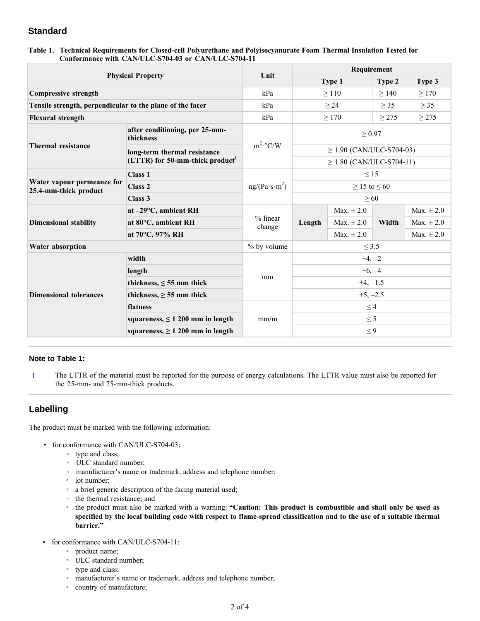## **Standard**

| Table 1. Technical Requirements for Closed-cell Polyurethane and Polyisocyanurate Foam Thermal Insulation Tested for |  |  |  |
|----------------------------------------------------------------------------------------------------------------------|--|--|--|
| Conformance with CAN/ULC-S704-03 or CAN/ULC-S704-11                                                                  |  |  |  |

| <b>Physical Property</b>                                  |                                               | Unit                      | Requirement                   |                        |            |                |
|-----------------------------------------------------------|-----------------------------------------------|---------------------------|-------------------------------|------------------------|------------|----------------|
|                                                           |                                               |                           |                               | Type 1                 | Type 2     | Type 3         |
| <b>Compressive strength</b>                               |                                               | kPa                       | >110<br>>140                  |                        |            | $\geq$ 170     |
| Tensile strength, perpendicular to the plane of the facer |                                               | kPa                       |                               | $\geq$ 24<br>$\geq$ 35 |            | $\geq$ 35      |
| <b>Flexural strength</b>                                  |                                               | kPa                       |                               | $\geq$ 170             | $\geq$ 275 | $\geq$ 275     |
| <b>Thermal resistance</b>                                 | after conditioning, per 25-mm-<br>thickness   |                           | $\geq 0.97$                   |                        |            |                |
|                                                           | long-term thermal resistance                  | $m^2$ <sup>o</sup> $C/W$  | $\geq$ 1.90 (CAN/ULC-S704-03) |                        |            |                |
|                                                           | $(LTTR)$ for 50-mm-thick product <sup>1</sup> |                           | $\geq$ 1.80 (CAN/ULC-S704-11) |                        |            |                |
| Water vapour permeance for<br>25.4-mm-thick product       | <b>Class 1</b>                                | ng/(Pa·s·m <sup>2</sup> ) | $\leq$ 15                     |                        |            |                |
|                                                           | Class <sub>2</sub>                            |                           | $\geq$ 15 to $\leq$ 60        |                        |            |                |
|                                                           | Class 3                                       |                           | $\geq 60$                     |                        |            |                |
|                                                           | at $-29$ °C, ambient RH                       | % linear<br>change        | Length                        | Max. $\pm 2.0$         | Width      | Max. $\pm 2.0$ |
| <b>Dimensional stability</b>                              | at 80°C, ambient RH                           |                           |                               | Max. $\pm 2.0$         |            | Max. $\pm 2.0$ |
|                                                           | at 70°C, 97% RH                               |                           |                               | Max. $\pm 2.0$         |            | $Max. \pm 2.0$ |
| Water absorption                                          |                                               | % by volume               | $\leq$ 3.5                    |                        |            |                |
|                                                           | width                                         | $+4, -2$                  |                               |                        |            |                |
| <b>Dimensional tolerances</b>                             | length                                        | mm                        | $+6, -4$                      |                        |            |                |
|                                                           | thickness, $\leq$ 55 mm thick                 |                           | $+4, -1.5$                    |                        |            |                |
|                                                           | thickness, $\geq$ 55 mm thick                 |                           | $+5, -2.5$                    |                        |            |                |
|                                                           | flatness                                      |                           | $\leq$ 4                      |                        |            |                |
|                                                           | squareness, $\leq 1200$ mm in length          | mm/m                      | $\leq$ 5                      |                        |            |                |
|                                                           | squareness, $\geq 1200$ mm in length          |                           | $\leq 9$                      |                        |            |                |

#### **Note to Table 1:**

1 The LTTR of the material must be reported for the purpose of energy calculations. The LTTR value must also be reported for the 25-mm- and 75-mm-thick products.

## **Labelling**

The product must be marked with the following information:

- for conformance with CAN/ULC-S704-03:
	- type and class;
	- ULC standard number;
	- manufacturer's name or trademark, address and telephone number;
	- lot number;
	- a brief generic description of the facing material used;
	- the thermal resistance; and
	- the product must also be marked with a warning: **"Caution: This product is combustible and shall only be used as specified by the local building code with respect to flame-spread classification and to the use of a suitable thermal barrier."**
- for conformance with CAN/ULC-S704-11:
	- product name;
	- ULC standard number;
	- type and class;
	- manufacturer's name or trademark, address and telephone number;
	- country of manufacture;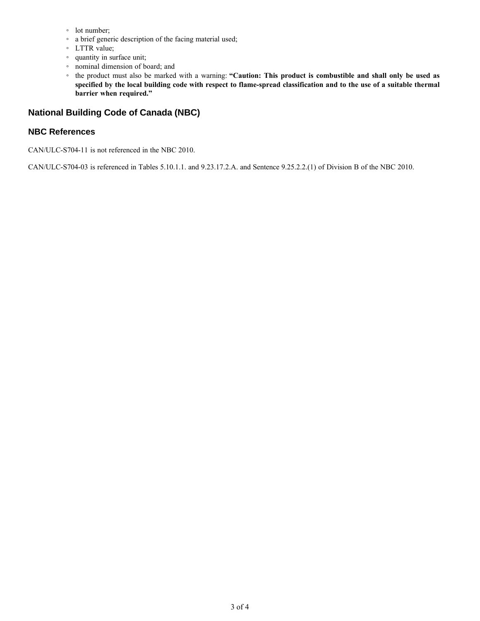- lot number;
- a brief generic description of the facing material used;
- LTTR value;
- quantity in surface unit;
- nominal dimension of board; and
- the product must also be marked with a warning: **"Caution: This product is combustible and shall only be used as specified by the local building code with respect to flame-spread classification and to the use of a suitable thermal barrier when required."**

## **National Building Code of Canada (NBC)**

#### **NBC References**

CAN/ULC-S704-11 is not referenced in the NBC 2010.

CAN/ULC-S704-03 is referenced in Tables 5.10.1.1. and 9.23.17.2.A. and Sentence 9.25.2.2.(1) of Division B of the NBC 2010.